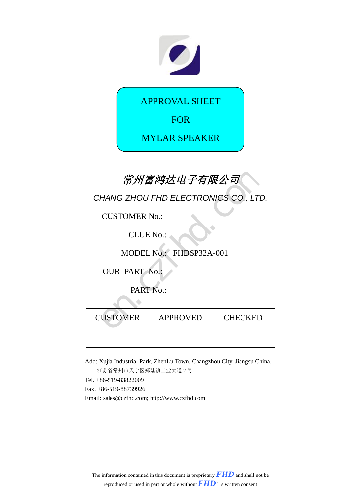

APPROVAL SHEET

FOR

MYLAR SPEAKER

## 常州富鸿达电子有限公司

| 常州富鸿达电子有限公司          |                                      |  |  |  |  |
|----------------------|--------------------------------------|--|--|--|--|
|                      | CHANG ZHOU FHD ELECTRONICS CO., LTD. |  |  |  |  |
| <b>CUSTOMER No.:</b> |                                      |  |  |  |  |
|                      | <b>CLUE No.:</b>                     |  |  |  |  |
|                      | MODEL No.: FHDSP32A-001              |  |  |  |  |
| <b>OUR PART No.:</b> |                                      |  |  |  |  |
|                      | PART No.:                            |  |  |  |  |
|                      |                                      |  |  |  |  |
| <b>CUSTOMER</b>      | CHECKED                              |  |  |  |  |
|                      |                                      |  |  |  |  |

Add: Xujia Industrial Park, ZhenLu Town, Changzhou City, Jiangsu China.

江苏省常州市天宁区郑陆镇工业大道 2 号

Tel: +86-519-83822009

Fax: +86-519-88739926

Email: sales@czfhd.com; http://www.czfhd.com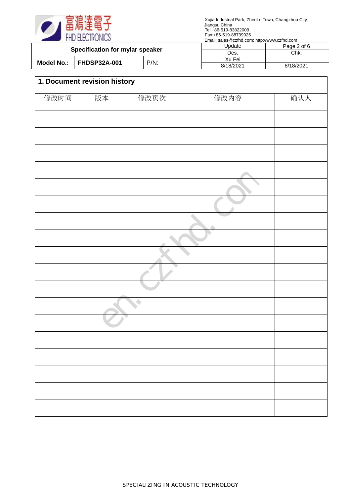

|                                 |                     | $L$ main, barco $\otimes$ 02m a.com, mup // www.czma.com |             |           |
|---------------------------------|---------------------|----------------------------------------------------------|-------------|-----------|
| Specification for mylar speaker |                     | Update                                                   | Page 2 of 6 |           |
|                                 |                     | Des.                                                     | Chk.        |           |
| Model No.: I                    | <b>FHDSP32A-001</b> |                                                          | Xu Fei      |           |
|                                 | $P/N$ :             |                                                          | 8/18/2021   | 8/18/2021 |

| 1. Document revision history |    |      |      |     |
|------------------------------|----|------|------|-----|
| 修改时间                         | 版本 | 修改页次 | 修改内容 | 确认人 |
|                              |    |      |      |     |
|                              |    |      |      |     |
|                              |    |      |      |     |
|                              |    |      |      |     |
|                              |    |      |      |     |
|                              |    |      |      |     |
|                              |    |      |      |     |
|                              |    |      |      |     |
|                              |    |      |      |     |
|                              |    |      |      |     |
|                              |    |      |      |     |
|                              |    |      |      |     |
|                              |    |      |      |     |
|                              |    |      |      |     |
|                              |    |      |      |     |
|                              |    |      |      |     |
|                              |    |      |      |     |
|                              |    |      |      |     |
|                              |    |      |      |     |
|                              |    |      |      |     |
|                              |    |      |      |     |
|                              |    |      |      |     |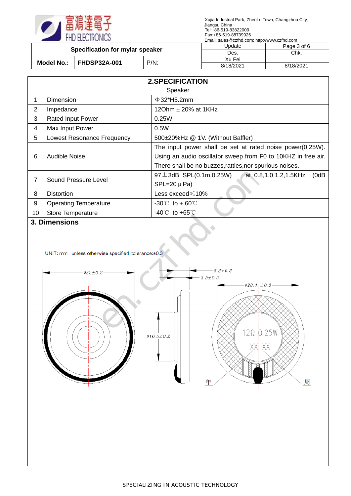

| Specification for mylar speaker   |         | Update    | Page 3 of 6 |
|-----------------------------------|---------|-----------|-------------|
|                                   |         | Des.      | Chk.        |
| <b>FHDSP32A-001</b><br>Model No.: | $P/N$ : | Xu Fei    |             |
|                                   |         | 8/18/2021 | 8/18/2021   |

|                | <b>2.SPECIFICATION</b>                                          |                                                                                     |  |  |  |  |
|----------------|-----------------------------------------------------------------|-------------------------------------------------------------------------------------|--|--|--|--|
|                | Speaker                                                         |                                                                                     |  |  |  |  |
| 1              | $\Phi$ 32*H5.2mm<br>Dimension                                   |                                                                                     |  |  |  |  |
| $\overline{2}$ | Impedance                                                       | 120hm $\pm$ 20% at 1KHz                                                             |  |  |  |  |
| 3              | <b>Rated Input Power</b><br>0.25W                               |                                                                                     |  |  |  |  |
| $\overline{4}$ | Max Input Power<br>0.5W                                         |                                                                                     |  |  |  |  |
| 5              | 500±20%Hz @ 1V. (Without Baffler)<br>Lowest Resonance Frequency |                                                                                     |  |  |  |  |
|                |                                                                 | The input power shall be set at rated noise power(0.25W).                           |  |  |  |  |
| 6              | Audible Noise                                                   | Using an audio oscillator sweep from F0 to 10KHZ in free air.                       |  |  |  |  |
|                |                                                                 | There shall be no buzzes, rattles, nor spurious noises.                             |  |  |  |  |
| 7              | Sound Pressure Level                                            | $97 \pm 3$ dB SPL $(0.1 \text{m}, 0.25 \text{W})$<br>at 0.8,1.0,1.2,1.5KHz<br>(0dB) |  |  |  |  |
|                |                                                                 | $SPL=20 \mu Pa$                                                                     |  |  |  |  |
| 8              | <b>Distortion</b>                                               | Less exceed $\leqslant$ 10%                                                         |  |  |  |  |
| 9              | <b>Operating Temperature</b>                                    | $-30^{\circ}$ to + 60 °C                                                            |  |  |  |  |
| 10             | <b>Store Temperature</b>                                        | $-40^{\circ}$ to $+65^{\circ}$                                                      |  |  |  |  |

## **3. Dimensions**

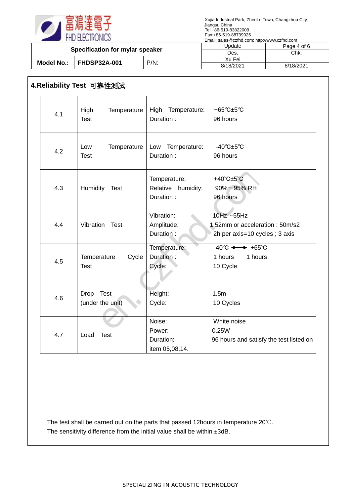

| Specification for mylar speaker   |  | <b>J</b> pdate | Page 4 of 6 |           |
|-----------------------------------|--|----------------|-------------|-----------|
|                                   |  | Des.           | Chk.        |           |
| <b>FHDSP32A-001</b><br>Model No.: |  | Xu Fei         |             |           |
|                                   |  | $P/N$ :        | 8/18/2021   | 8/18/2021 |

## **4.Reliability Test** 可靠性測試

| 4.1 | High<br>Temperature<br><b>Test</b>  | High Temperature:<br>Duration:                  | +65 $^{\circ}$ C $\pm$ 5 $^{\circ}$ C<br>96 hours                                        |
|-----|-------------------------------------|-------------------------------------------------|------------------------------------------------------------------------------------------|
| 4.2 | Temperature<br>Low<br><b>Test</b>   | Low Temperature:<br>Duration:                   | $-40^{\circ}$ C $\pm 5^{\circ}$ C<br>96 hours                                            |
| 4.3 | Humidity Test                       | Temperature:<br>Relative humidity:<br>Duration: | +40 $^{\circ}$ C $\pm$ 5 $^{\circ}$ C<br>$90\% \sim 95\%$ RH<br>96 hours                 |
| 4.4 | Vibration<br>Test                   | Vibration:<br>Amplitude:<br>Duration:           | $10$ Hz $\sim$ 55Hz<br>1.52mm or acceleration: 50m/s2<br>2h per axis=10 cycles; 3 axis   |
| 4.5 | Cycle<br>Temperature<br><b>Test</b> | Temperature:<br>Duration:<br>Cycle:             | $-40^{\circ}$ C $\longleftrightarrow$ +65 $^{\circ}$ C<br>1 hours<br>1 hours<br>10 Cycle |
| 4.6 | Drop Test<br>(under the unit)       | Height:<br>Cycle:                               | 1.5 <sub>m</sub><br>10 Cycles                                                            |
| 4.7 | Load<br><b>Test</b>                 | Noise:<br>Power:<br>Duration:<br>item 05,08,14. | White noise<br>0.25W<br>96 hours and satisfy the test listed on                          |

The test shall be carried out on the parts that passed 12hours in temperature 20℃. The sensitivity difference from the initial value shall be within  $\pm 3$ dB.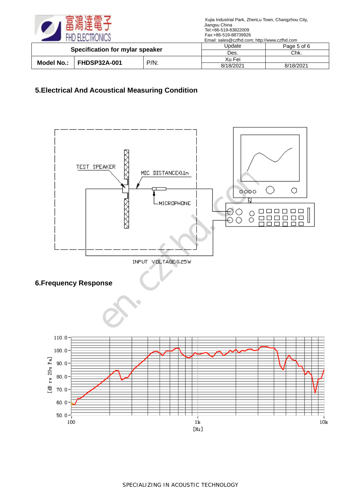

| Specification for mylar speaker |                                | Jpdate | Page 5 of 6 |           |
|---------------------------------|--------------------------------|--------|-------------|-----------|
|                                 |                                | Des.   | Chk.        |           |
| Model No.:                      |                                |        | Xu Fei      |           |
|                                 | <b>FHDSP32A-001</b><br>$P/N$ : |        | 8/18/2021   | 8/18/2021 |

## **5.Electrical And Acoustical Measuring Condition**